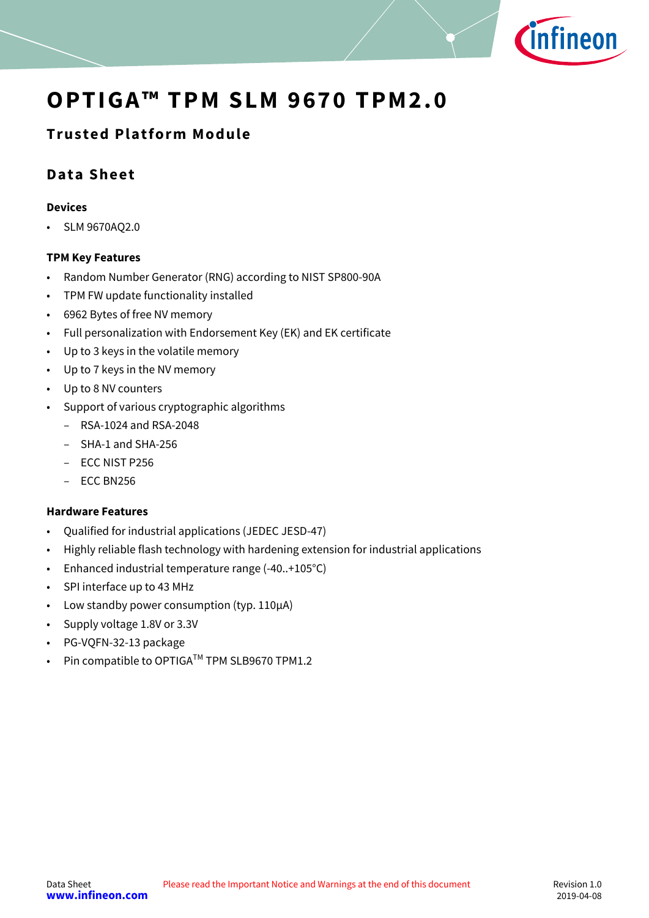

# **OPTIGA™ TPM SLM 9670 TPM2.0**

## **Trusted Platform Module**

## **Data Sheet**

#### **Devices**

• SLM 9670AQ2.0

#### **TPM Key Features**

- Random Number Generator (RNG) according to NIST SP800-90A
- TPM FW update functionality installed
- 6962 Bytes of free NV memory
- Full personalization with Endorsement Key (EK) and EK certificate
- Up to 3 keys in the volatile memory
- Up to 7 keys in the NV memory
- Up to 8 NV counters
- Support of various cryptographic algorithms
	- RSA-1024 and RSA-2048
	- SHA-1 and SHA-256
	- ECC NIST P256
	- ECC BN256

#### **Hardware Features**

- Qualified for industrial applications (JEDEC JESD-47)
- Highly reliable flash technology with hardening extension for industrial applications
- Enhanced industrial temperature range (-40..+105°C)
- SPI interface up to 43 MHz
- Low standby power consumption (typ. 110µA)
- Supply voltage 1.8V or 3.3V
- PG-VQFN-32-13 package
- Pin compatible to OPTIGA™ TPM SLB9670 TPM1.2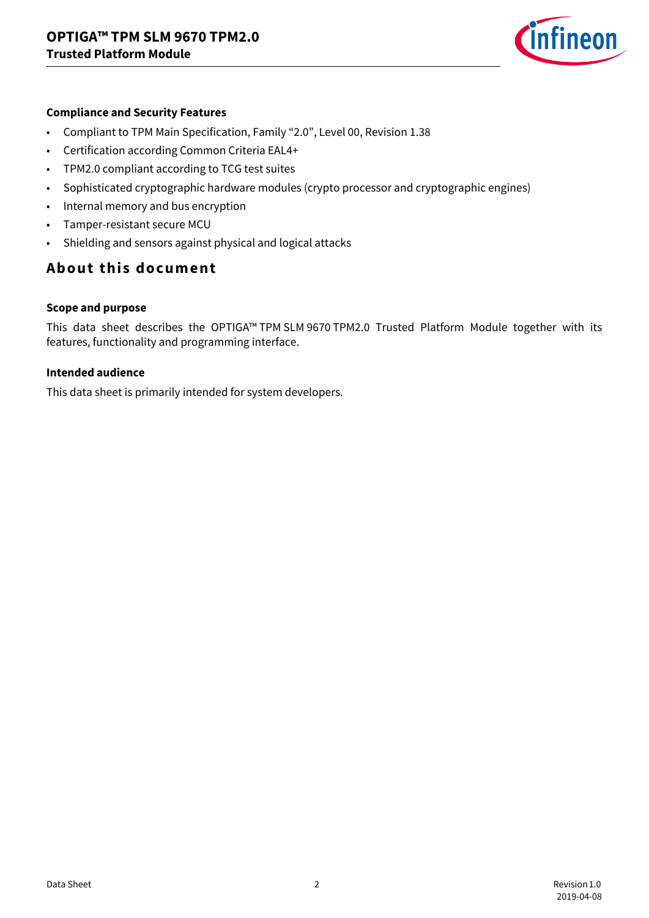

#### **Compliance and Security Features**

- Compliant to TPM Main Specification, Family "2.0", Level 00, Revision 1.38
- Certification according Common Criteria EAL4+
- TPM2.0 compliant according to TCG test suites
- Sophisticated cryptographic hardware modules (crypto processor and cryptographic engines)
- Internal memory and bus encryption
- Tamper-resistant secure MCU
- Shielding and sensors against physical and logical attacks

## **About this document**

#### **Scope and purpose**

This data sheet describes the OPTIGA™ TPM SLM 9670 TPM2.0 Trusted Platform Module together with its features, functionality and programming interface.

#### **Intended audience**

This data sheet is primarily intended for system developers.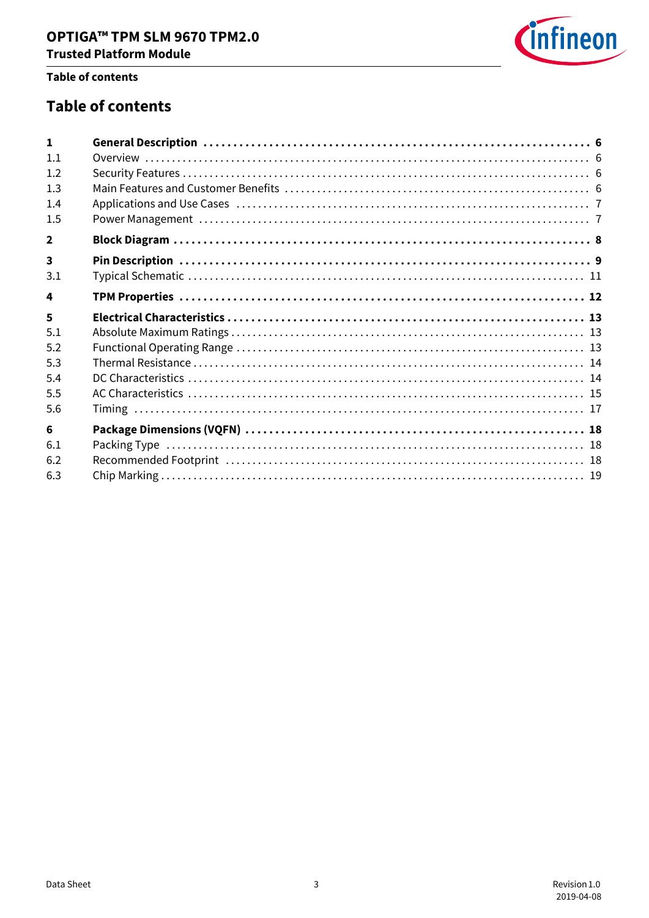

#### **Table of contents**

## **Table of contents**

| $\blacksquare$          |  |
|-------------------------|--|
| 1.1                     |  |
| 1.2                     |  |
| 1.3                     |  |
| 1.4                     |  |
| 1.5                     |  |
| $\overline{2}$          |  |
| $\overline{\mathbf{3}}$ |  |
| 3.1                     |  |
| 4                       |  |
| 5                       |  |
| 5.1                     |  |
| 5.2                     |  |
| 5.3                     |  |
| 5.4                     |  |
| 5.5                     |  |
| 5.6                     |  |
| 6                       |  |
| 6.1                     |  |
| 6.2                     |  |
| 6.3                     |  |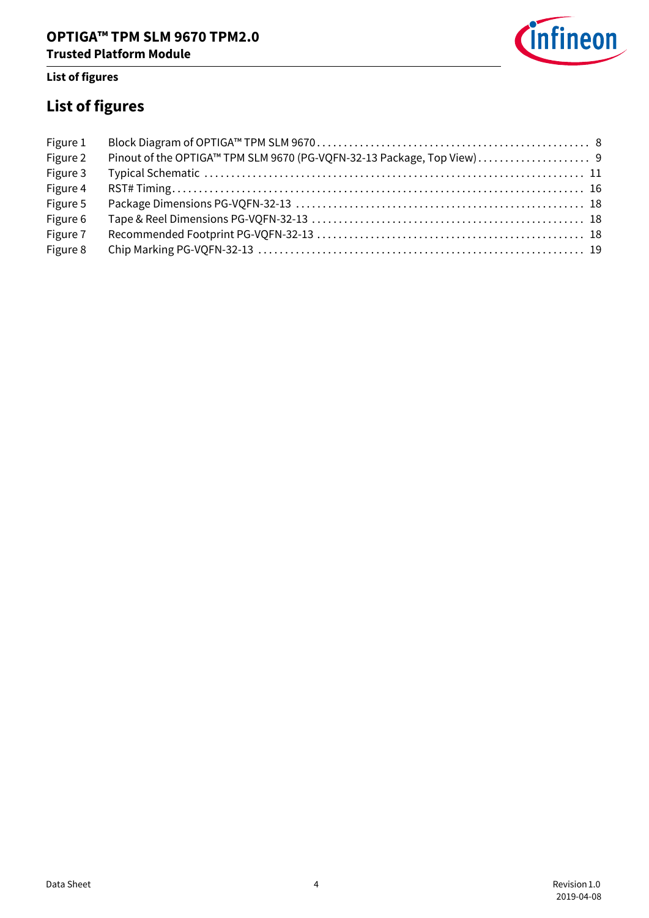

## **List of figures**

# **List of figures**

| Figure 1 |  |
|----------|--|
| Figure 2 |  |
| Figure 3 |  |
| Figure 4 |  |
| Figure 5 |  |
| Figure 6 |  |
| Figure 7 |  |
| Figure 8 |  |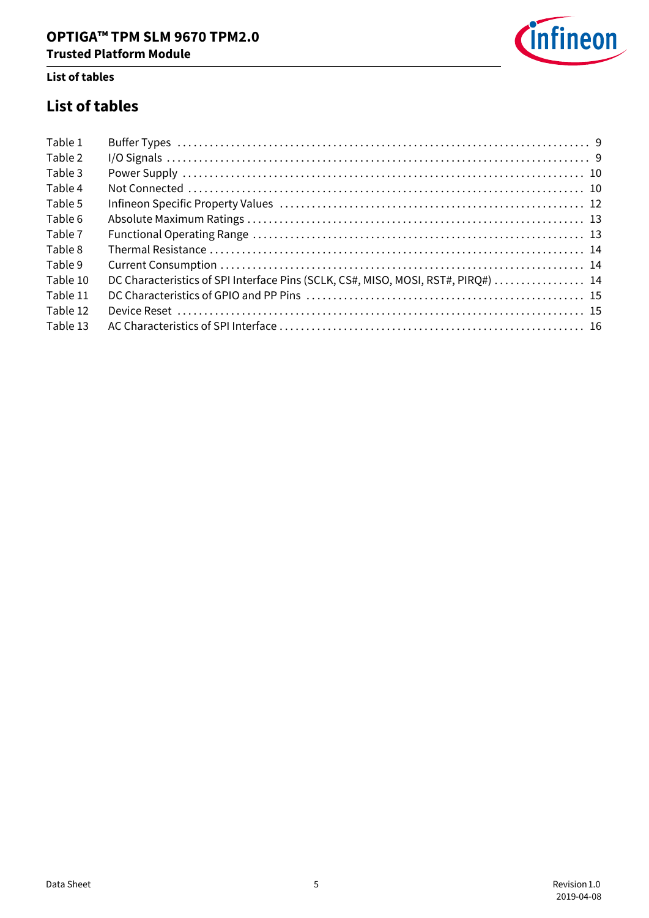

### **List of tables**

## **List of tables**

| Table 1  |                                                                                   |  |
|----------|-----------------------------------------------------------------------------------|--|
| Table 2  |                                                                                   |  |
| Table 3  |                                                                                   |  |
| Table 4  |                                                                                   |  |
| Table 5  |                                                                                   |  |
| Table 6  |                                                                                   |  |
| Table 7  |                                                                                   |  |
| Table 8  |                                                                                   |  |
| Table 9  |                                                                                   |  |
| Table 10 | DC Characteristics of SPI Interface Pins (SCLK, CS#, MISO, MOSI, RST#, PIRO#)  14 |  |
| Table 11 |                                                                                   |  |
| Table 12 |                                                                                   |  |
| Table 13 |                                                                                   |  |
|          |                                                                                   |  |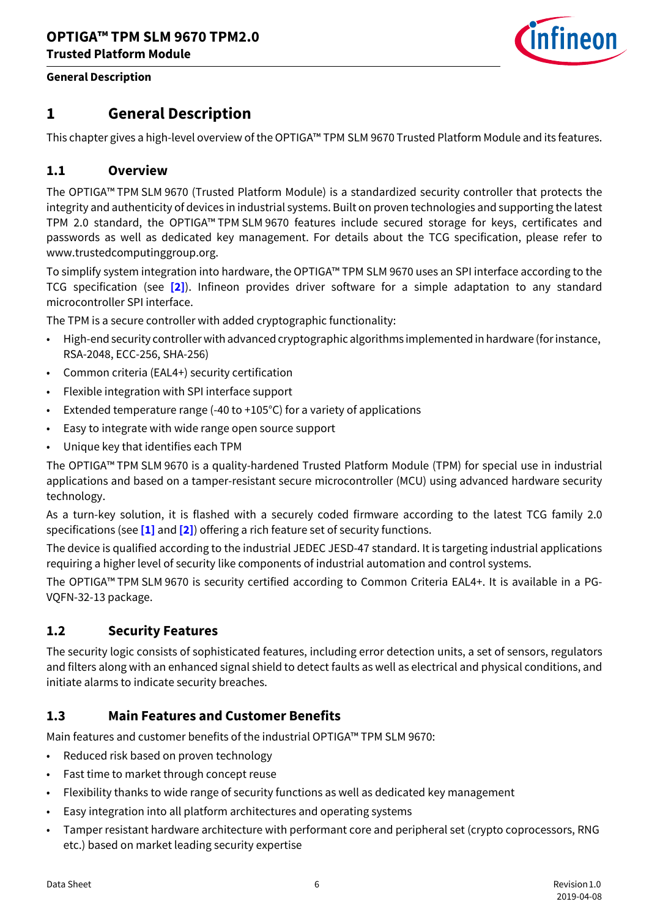

#### **General Description**

## <span id="page-5-0"></span>**1 General Description**

This chapter gives a high-level overview of the OPTIGA™ TPM SLM 9670 Trusted Platform Module and its features.

## <span id="page-5-1"></span>**1.1 Overview**

The OPTIGA™ TPM SLM 9670 (Trusted Platform Module) is a standardized security controller that protects the integrity and authenticity of devices in industrial systems. Built on proven technologies and supporting the latest TPM 2.0 standard, the OPTIGA™ TPM SLM 9670 features include secured storage for keys, certificates and passwords as well as dedicated key management. For details about the TCG specification, please refer to www.trustedcomputinggroup.org.

To simplify system integration into hardware, the OPTIGA™ TPM SLM 9670 uses an SPI interface according to the TCG specification (see **[\[2\]](#page-19-0)**). Infineon provides driver software for a simple adaptation to any standard microcontroller SPI interface.

The TPM is a secure controller with added cryptographic functionality:

- High-end security controller with advanced cryptographic algorithms implemented in hardware (for instance, RSA-2048, ECC-256, SHA-256)
- Common criteria (EAL4+) security certification
- Flexible integration with SPI interface support
- Extended temperature range (-40 to +105°C) for a variety of applications
- Easy to integrate with wide range open source support
- Unique key that identifies each TPM

The OPTIGA™ TPM SLM 9670 is a quality-hardened Trusted Platform Module (TPM) for special use in industrial applications and based on a tamper-resistant secure microcontroller (MCU) using advanced hardware security technology.

As a turn-key solution, it is flashed with a securely coded firmware according to the latest TCG family 2.0 specifications (see **[\[1\]](#page-19-1)** and **[\[2\]](#page-19-0)**) offering a rich feature set of security functions.

The device is qualified according to the industrial JEDEC JESD-47 standard. It is targeting industrial applications requiring a higher level of security like components of industrial automation and control systems.

The OPTIGA™ TPM SLM 9670 is security certified according to Common Criteria EAL4+. It is available in a PG-VQFN-32-13 package.

## <span id="page-5-2"></span>**1.2 Security Features**

The security logic consists of sophisticated features, including error detection units, a set of sensors, regulators and filters along with an enhanced signal shield to detect faults as well as electrical and physical conditions, and initiate alarms to indicate security breaches.

## <span id="page-5-3"></span>**1.3 Main Features and Customer Benefits**

Main features and customer benefits of the industrial OPTIGA™ TPM SLM 9670:

- Reduced risk based on proven technology
- Fast time to market through concept reuse
- Flexibility thanks to wide range of security functions as well as dedicated key management
- Easy integration into all platform architectures and operating systems
- Tamper resistant hardware architecture with performant core and peripheral set (crypto coprocessors, RNG etc.) based on market leading security expertise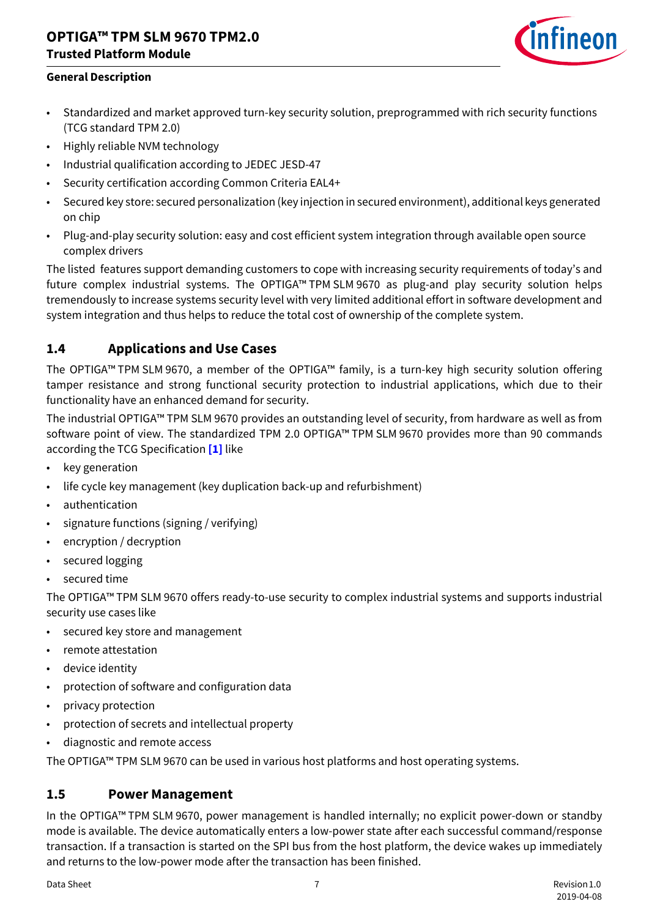## **OPTIGA™ TPM SLM 9670 TPM2.0 Trusted Platform Module**



#### **General Description**

- Standardized and market approved turn-key security solution, preprogrammed with rich security functions (TCG standard TPM 2.0)
- Highly reliable NVM technology
- Industrial qualification according to JEDEC JESD-47
- Security certification according Common Criteria EAL4+
- Secured key store: secured personalization (key injection in secured environment), additional keys generated on chip
- Plug-and-play security solution: easy and cost efficient system integration through available open source complex drivers

The listed features support demanding customers to cope with increasing security requirements of today's and future complex industrial systems. The OPTIGA™ TPM SLM 9670 as plug-and play security solution helps tremendously to increase systems security level with very limited additional effort in software development and system integration and thus helps to reduce the total cost of ownership of the complete system.

## <span id="page-6-0"></span>**1.4 Applications and Use Cases**

The OPTIGA™ TPM SLM 9670, a member of the OPTIGA™ family, is a turn-key high security solution offering tamper resistance and strong functional security protection to industrial applications, which due to their functionality have an enhanced demand for security.

The industrial OPTIGA™ TPM SLM 9670 provides an outstanding level of security, from hardware as well as from software point of view. The standardized TPM 2.0 OPTIGA™ TPM SLM 9670 provides more than 90 commands according the TCG Specification **[\[1\]](#page-19-1)** like

- key generation
- life cycle key management (key duplication back-up and refurbishment)
- authentication
- signature functions (signing / verifying)
- encryption / decryption
- secured logging
- secured time

The OPTIGA™ TPM SLM 9670 offers ready-to-use security to complex industrial systems and supports industrial security use cases like

- secured key store and management
- remote attestation
- device identity
- protection of software and configuration data
- privacy protection
- protection of secrets and intellectual property
- diagnostic and remote access

The OPTIGA™ TPM SLM 9670 can be used in various host platforms and host operating systems.

## <span id="page-6-1"></span>**1.5 Power Management**

In the OPTIGA™ TPM SLM 9670, power management is handled internally; no explicit power-down or standby mode is available. The device automatically enters a low-power state after each successful command/response transaction. If a transaction is started on the SPI bus from the host platform, the device wakes up immediately and returns to the low-power mode after the transaction has been finished.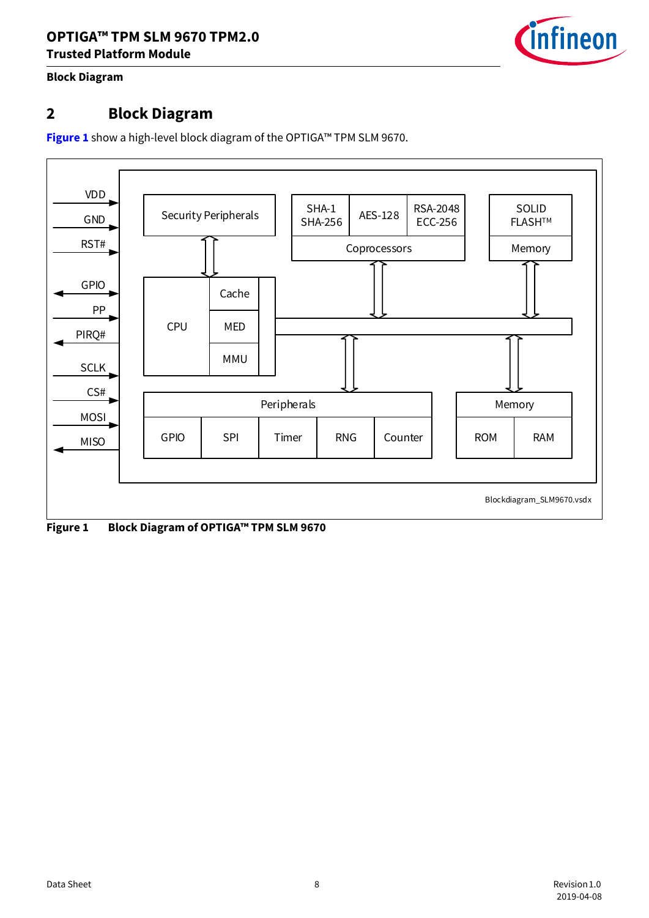

#### **Block Diagram**

## <span id="page-7-0"></span>**2 Block Diagram**

**[Figure 1](#page-7-1)** show a high-level block diagram of the OPTIGA™ TPM SLM 9670.



<span id="page-7-1"></span>**Figure 1 Block Diagram of OPTIGA™ TPM SLM 9670**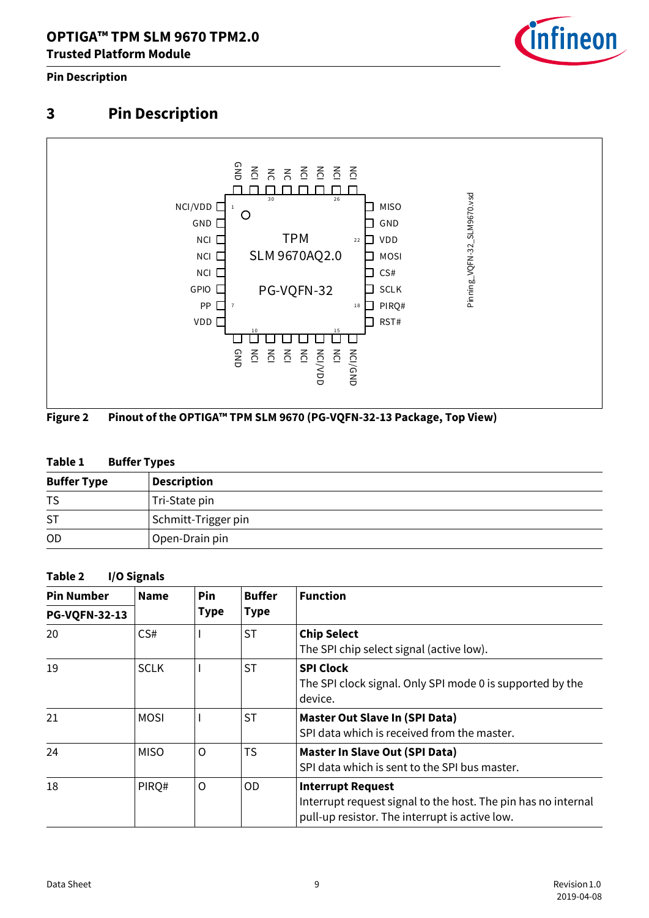

#### **Pin Description**

# <span id="page-8-0"></span>**3 Pin Description**



## <span id="page-8-1"></span>**Figure 2 Pinout of the OPTIGA™ TPM SLM 9670 (PG-VQFN-32-13 Package, Top View)**

#### <span id="page-8-2"></span>**Table 1 Buffer Types**

| <b>Buffer Type</b> | <b>Description</b>  |
|--------------------|---------------------|
| TS                 | Tri-State pin       |
| <b>ST</b>          | Schmitt-Trigger pin |
| <b>OD</b>          | Open-Drain pin      |

#### <span id="page-8-3"></span>**Table 2 I/O Signals**

| <b>Pin Number</b>      | <b>Name</b> | Pin<br><b>Type</b> | <b>Buffer</b>                                                  | <b>Function</b>                                                                                                                             |  |
|------------------------|-------------|--------------------|----------------------------------------------------------------|---------------------------------------------------------------------------------------------------------------------------------------------|--|
| <b>PG-VQFN-32-13</b>   |             |                    | <b>Type</b>                                                    |                                                                                                                                             |  |
| <b>ST</b><br>CS#<br>20 |             |                    | <b>Chip Select</b><br>The SPI chip select signal (active low). |                                                                                                                                             |  |
| 19                     | <b>SCLK</b> |                    | <b>ST</b>                                                      | <b>SPI Clock</b><br>The SPI clock signal. Only SPI mode 0 is supported by the<br>device.                                                    |  |
| 21                     | <b>MOSI</b> |                    | <b>ST</b>                                                      | Master Out Slave In (SPI Data)<br>SPI data which is received from the master.                                                               |  |
| 24                     | <b>MISO</b> | O                  | <b>TS</b>                                                      | Master In Slave Out (SPI Data)<br>SPI data which is sent to the SPI bus master.                                                             |  |
| 18                     | PIRQ#       | $\circ$            | 0D                                                             | <b>Interrupt Request</b><br>Interrupt request signal to the host. The pin has no internal<br>pull-up resistor. The interrupt is active low. |  |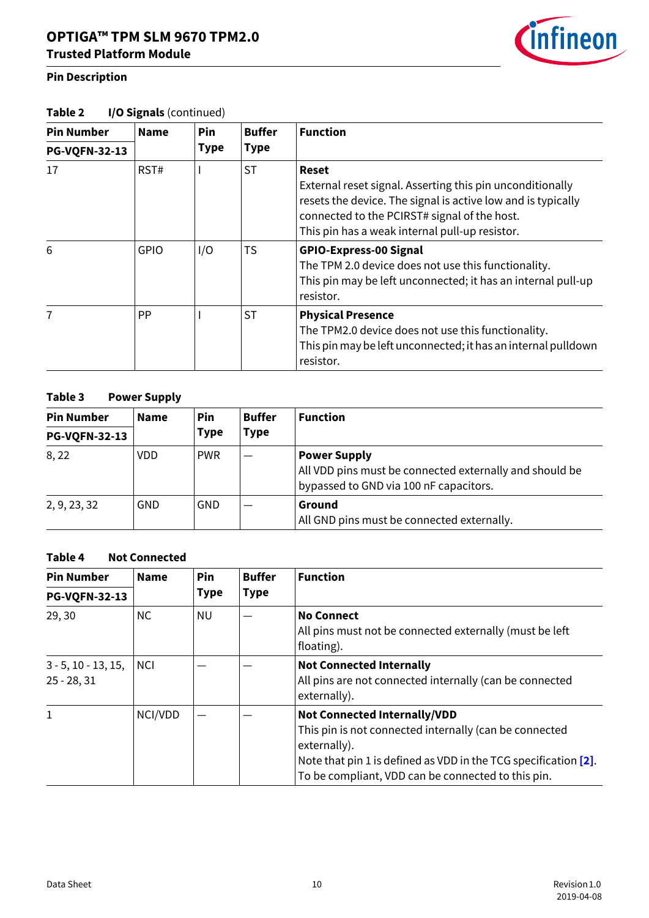#### **Pin Description**

| Table 2 | I/O Signals (continued) |  |
|---------|-------------------------|--|
|---------|-------------------------|--|

| <b>Pin Number</b>    | <b>Name</b> | Pin         | <b>Buffer</b> | <b>Function</b>                                                                                                                                                                                                                             |  |
|----------------------|-------------|-------------|---------------|---------------------------------------------------------------------------------------------------------------------------------------------------------------------------------------------------------------------------------------------|--|
| <b>PG-VQFN-32-13</b> |             | <b>Type</b> | <b>Type</b>   |                                                                                                                                                                                                                                             |  |
| 17                   | RST#        |             | <b>ST</b>     | <b>Reset</b><br>External reset signal. Asserting this pin unconditionally<br>resets the device. The signal is active low and is typically<br>connected to the PCIRST# signal of the host.<br>This pin has a weak internal pull-up resistor. |  |
| 6                    | <b>GPIO</b> | I/O         | <b>TS</b>     | <b>GPIO-Express-00 Signal</b><br>The TPM 2.0 device does not use this functionality.<br>This pin may be left unconnected; it has an internal pull-up<br>resistor.                                                                           |  |
| 7                    | <b>PP</b>   |             | <b>ST</b>     | <b>Physical Presence</b><br>The TPM2.0 device does not use this functionality.<br>This pin may be left unconnected; it has an internal pulldown<br>resistor.                                                                                |  |

#### <span id="page-9-0"></span>**Table 3 Power Supply**

| <b>Pin Number</b>    | <b>Name</b> | <b>Pin</b><br>Type | <b>Buffer</b><br>Type | <b>Function</b>                                                                                                          |  |
|----------------------|-------------|--------------------|-----------------------|--------------------------------------------------------------------------------------------------------------------------|--|
| <b>PG-VQFN-32-13</b> |             |                    |                       |                                                                                                                          |  |
| 8,22                 | <b>VDD</b>  | <b>PWR</b>         |                       | <b>Power Supply</b><br>All VDD pins must be connected externally and should be<br>bypassed to GND via 100 nF capacitors. |  |
| 2, 9, 23, 32         | <b>GND</b>  | GND                |                       | Ground<br>All GND pins must be connected externally.                                                                     |  |

#### <span id="page-9-1"></span>**Table 4 Not Connected**

| <b>Pin Number</b>                                             | <b>Name</b> | <b>Pin</b><br><b>Type</b>                               | <b>Buffer</b><br><b>Type</b> | <b>Function</b>                                                                                                                                                                                                                        |  |
|---------------------------------------------------------------|-------------|---------------------------------------------------------|------------------------------|----------------------------------------------------------------------------------------------------------------------------------------------------------------------------------------------------------------------------------------|--|
| <b>PG-VQFN-32-13</b>                                          |             |                                                         |                              |                                                                                                                                                                                                                                        |  |
| <b>NC</b><br>29, 30<br>NU.<br><b>No Connect</b><br>floating). |             | All pins must not be connected externally (must be left |                              |                                                                                                                                                                                                                                        |  |
| $3 - 5$ , 10 - 13, 15,<br>$25 - 28, 31$                       | <b>NCI</b>  |                                                         |                              | <b>Not Connected Internally</b><br>All pins are not connected internally (can be connected<br>externally).                                                                                                                             |  |
| 1                                                             | NCI/VDD     |                                                         |                              | <b>Not Connected Internally/VDD</b><br>This pin is not connected internally (can be connected<br>externally).<br>Note that pin 1 is defined as VDD in the TCG specification [2].<br>To be compliant, VDD can be connected to this pin. |  |

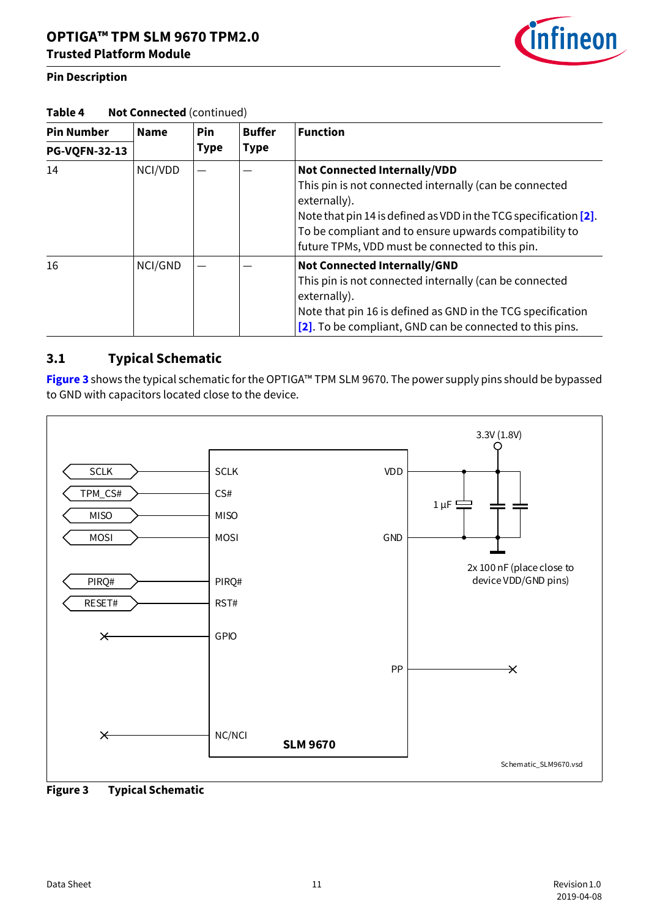#### **Pin Description**



#### Table 4 **Not Connected** (continued)

| <b>Pin Number</b>    | <b>Name</b> | <b>Pin</b>  | <b>Buffer</b><br><b>Type</b> | <b>Function</b>                                                                                                                                                                                                                                                                                   |  |
|----------------------|-------------|-------------|------------------------------|---------------------------------------------------------------------------------------------------------------------------------------------------------------------------------------------------------------------------------------------------------------------------------------------------|--|
| <b>PG-VQFN-32-13</b> |             | <b>Type</b> |                              |                                                                                                                                                                                                                                                                                                   |  |
| 14                   | NCI/VDD     |             |                              | <b>Not Connected Internally/VDD</b><br>This pin is not connected internally (can be connected<br>externally).<br>Note that pin 14 is defined as VDD in the TCG specification $[2]$ .<br>To be compliant and to ensure upwards compatibility to<br>future TPMs, VDD must be connected to this pin. |  |
| 16                   | NCI/GND     |             |                              | Not Connected Internally/GND<br>This pin is not connected internally (can be connected<br>externally).<br>Note that pin 16 is defined as GND in the TCG specification<br>[2]. To be compliant, GND can be connected to this pins.                                                                 |  |

## <span id="page-10-0"></span>**3.1 Typical Schematic**

**[Figure 3](#page-10-1)** shows the typical schematic for the OPTIGA™ TPM SLM 9670. The power supply pins should be bypassed to GND with capacitors located close to the device.



<span id="page-10-1"></span>**Figure 3 Typical Schematic**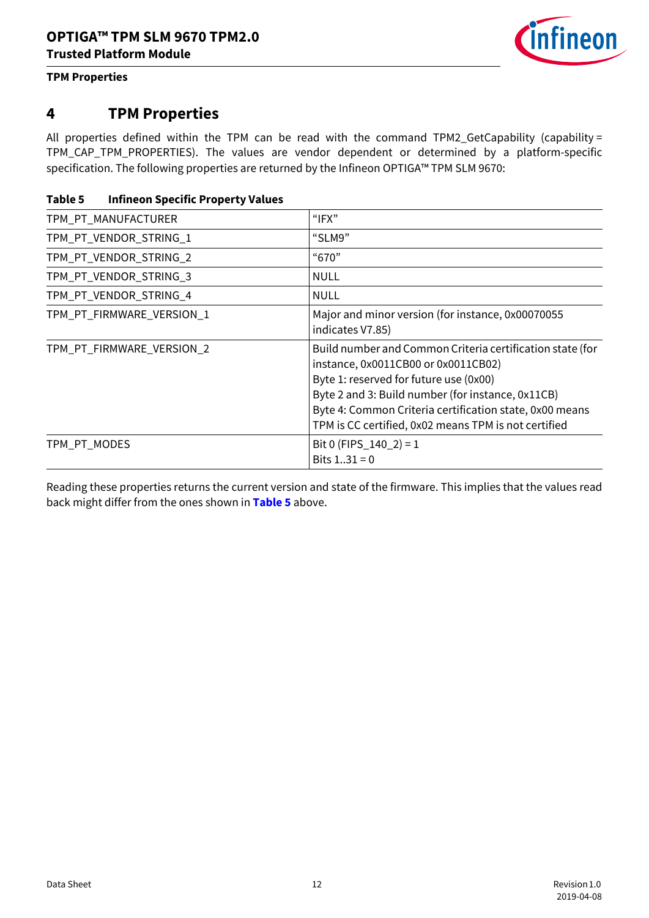

#### **TPM Properties**

## <span id="page-11-0"></span>**4 TPM Properties**

All properties defined within the TPM can be read with the command TPM2\_GetCapability (capability = TPM\_CAP\_TPM\_PROPERTIES). The values are vendor dependent or determined by a platform-specific specification. The following properties are returned by the Infineon OPTIGA™ TPM SLM 9670:

<span id="page-11-1"></span>

| Table 5 | <b>Infineon Specific Property Values</b> |  |  |
|---------|------------------------------------------|--|--|
|         |                                          |  |  |

| TPM_PT_MANUFACTURER       | " $IFX"$                                                                                                                                                                                                                                                                                                           |
|---------------------------|--------------------------------------------------------------------------------------------------------------------------------------------------------------------------------------------------------------------------------------------------------------------------------------------------------------------|
| TPM_PT_VENDOR_STRING_1    | "SLM9"                                                                                                                                                                                                                                                                                                             |
| TPM_PT_VENDOR_STRING_2    | "670"                                                                                                                                                                                                                                                                                                              |
| TPM_PT_VENDOR_STRING_3    | NULL                                                                                                                                                                                                                                                                                                               |
| TPM_PT_VENDOR_STRING_4    | <b>NULL</b>                                                                                                                                                                                                                                                                                                        |
| TPM_PT_FIRMWARE_VERSION_1 | Major and minor version (for instance, 0x00070055<br>indicates V7.85)                                                                                                                                                                                                                                              |
| TPM_PT_FIRMWARE_VERSION_2 | Build number and Common Criteria certification state (for<br>instance, 0x0011CB00 or 0x0011CB02)<br>Byte 1: reserved for future use (0x00)<br>Byte 2 and 3: Build number (for instance, 0x11CB)<br>Byte 4: Common Criteria certification state, 0x00 means<br>TPM is CC certified, 0x02 means TPM is not certified |
| TPM_PT_MODES              | Bit 0 (FIPS_140_2) = 1<br>Bits $131 = 0$                                                                                                                                                                                                                                                                           |

Reading these properties returns the current version and state of the firmware. This implies that the values read back might differ from the ones shown in **[Table 5](#page-11-1)** above.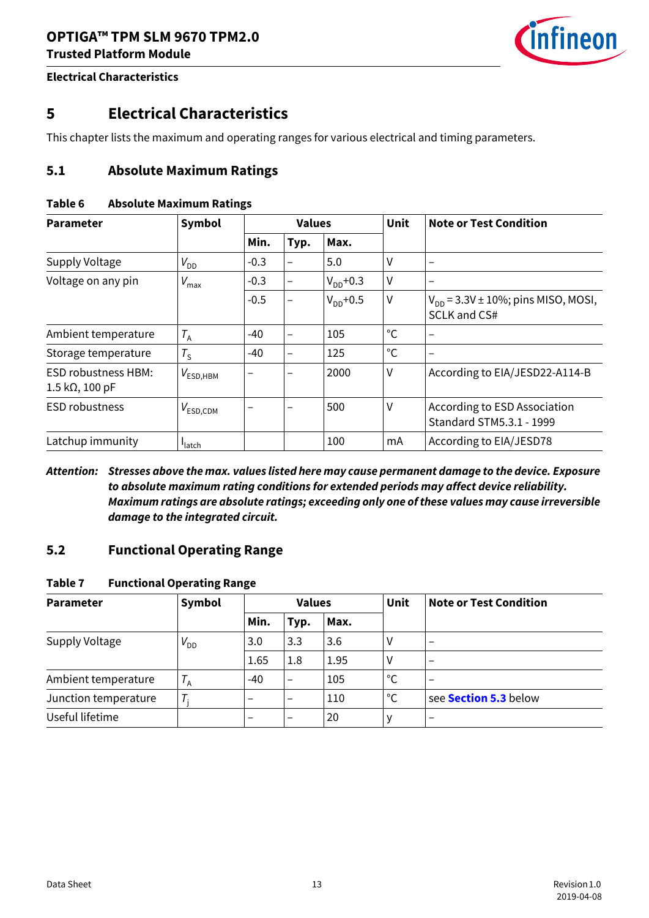

## <span id="page-12-0"></span>**5 Electrical Characteristics**

This chapter lists the maximum and operating ranges for various electrical and timing parameters.

## <span id="page-12-1"></span>**5.1 Absolute Maximum Ratings**

#### <span id="page-12-3"></span>**Table 6 Absolute Maximum Ratings**

| <b>Parameter</b>                                             | Symbol                          | <b>Values</b> |                          |               | <b>Unit</b>  | <b>Note or Test Condition</b>                            |
|--------------------------------------------------------------|---------------------------------|---------------|--------------------------|---------------|--------------|----------------------------------------------------------|
|                                                              |                                 | Min.          | Typ.                     | Max.          |              |                                                          |
| Supply Voltage                                               | $V_{DD}$                        | $-0.3$        | $\overline{\phantom{0}}$ | 5.0           | V            |                                                          |
| Voltage on any pin                                           | $V_{\text{max}}$                | $-0.3$        | $\overline{\phantom{0}}$ | $V_{DD}$ +0.3 | V            |                                                          |
|                                                              |                                 | $-0.5$        | -                        | $V_{DD}$ +0.5 | $\mathsf{V}$ | $V_{DD}$ = 3.3V ± 10%; pins MISO, MOSI,<br>SCLK and CS#  |
| Ambient temperature                                          | $T_A$                           | $-40$         | $\overline{\phantom{0}}$ | 105           | $^{\circ}$ C |                                                          |
| Storage temperature                                          | $T_{\rm S}$                     | $-40$         |                          | 125           | $^{\circ}$ C |                                                          |
| <b>ESD robustness HBM:</b><br>$1.5 \text{ k}\Omega$ , 100 pF | $V_{\mathsf{ESD},\mathsf{HBM}}$ | —             |                          | 2000          | V            | According to EIA/JESD22-A114-B                           |
| <b>ESD robustness</b>                                        | $V_{\mathsf{ESD},\mathsf{CDM}}$ |               |                          | 500           | V            | According to ESD Association<br>Standard STM5.3.1 - 1999 |
| Latchup immunity                                             | <b>I</b> latch                  |               |                          | 100           | mA           | According to EIA/JESD78                                  |

*Attention: Stresses above the max. values listed here may cause permanent damage to the device. Exposure to absolute maximum rating conditions for extended periods may affect device reliability. Maximum ratings are absolute ratings; exceeding only one of these values may cause irreversible damage to the integrated circuit.*

#### <span id="page-12-2"></span>**5.2 Functional Operating Range**

#### <span id="page-12-4"></span>**Table 7 Functional Operating Range**

<span id="page-12-5"></span>

| <b>Parameter</b>     | Symbol      |                          | <b>Values</b>            |      |              | <b>Note or Test Condition</b> |
|----------------------|-------------|--------------------------|--------------------------|------|--------------|-------------------------------|
|                      |             | Min.                     | Typ.                     | Max. |              |                               |
| Supply Voltage       | $V_{DD}$    | 3.0                      | 3.3                      | 3.6  | ٧            | $\overline{\phantom{m}}$      |
|                      |             | 1.65                     | 1.8                      | 1.95 | ٧            |                               |
| Ambient temperature  | $T_A$       | -40                      | $\qquad \qquad$          | 105  | $^{\circ}$ C | $\overline{\phantom{0}}$      |
| Junction temperature | $T_{\rm i}$ | $\overline{\phantom{0}}$ | $\overline{\phantom{0}}$ | 110  | $^{\circ}$ C | see <b>Section 5.3</b> below  |
| Useful lifetime      |             |                          | $\overline{\phantom{0}}$ | 20   | v            | $\overline{\phantom{m}}$      |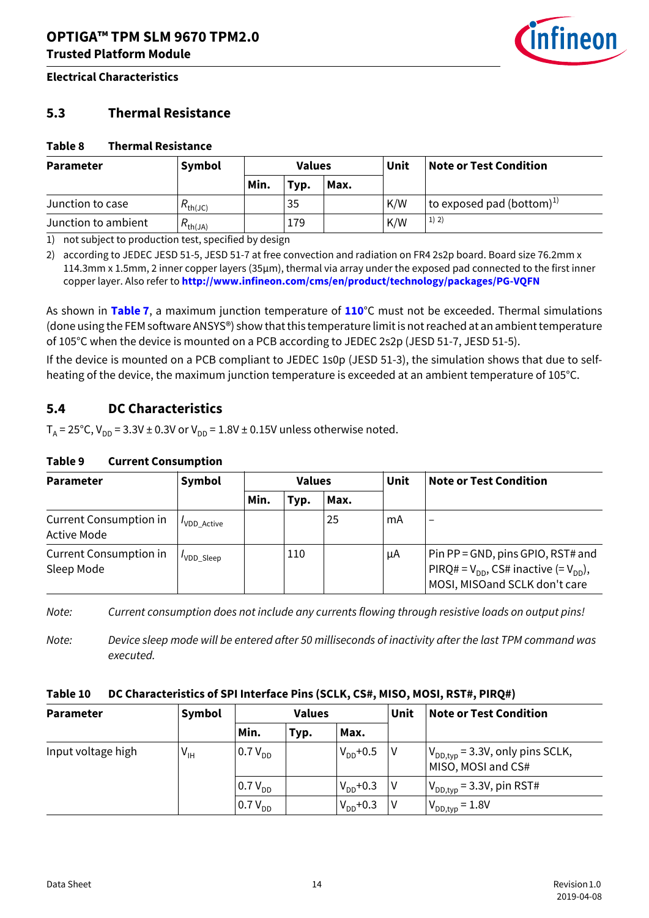<span id="page-13-5"></span>

### <span id="page-13-0"></span>**5.3 Thermal Resistance**

#### <span id="page-13-2"></span>**Table 8 Thermal Resistance**

| <b>Parameter</b>    | Symbol              | <b>Values</b> |              | Unit | Note or Test Condition |                                 |
|---------------------|---------------------|---------------|--------------|------|------------------------|---------------------------------|
|                     |                     | Min.          | $\mathbf{y}$ | Max. |                        |                                 |
| Junction to case    | $R_{\text{th}(JC)}$ |               | 35           |      | K/W                    | to exposed pad (bottom) $^{1)}$ |
| Junction to ambient | D<br>$\pi_{th(JA)}$ |               | 179          |      | K/W                    | 1) 2)                           |

1) not subject to production test, specified by design

2) according to JEDEC JESD 51-5, JESD 51-7 at free convection and radiation on FR4 2s2p board. Board size 76.2mm x 114.3mm x 1.5mm, 2 inner copper layers (35µm), thermal via array under the exposed pad connected to the first inner copper layer. Also refer to **http://www.infineon.com/cms/en/product/technology/packages/PG-VQFN**

As shown in **[Table 7](#page-12-4)**, a maximum junction temperature of **[110](#page-12-5)**°C must not be exceeded. Thermal simulations (done using the FEM software ANSYS®) show that this temperature limit is not reached at an ambient temperature of 105°C when the device is mounted on a PCB according to JEDEC 2s2p (JESD 51-7, JESD 51-5).

If the device is mounted on a PCB compliant to JEDEC 1s0p (JESD 51-3), the simulation shows that due to selfheating of the device, the maximum junction temperature is exceeded at an ambient temperature of 105°C.

## <span id="page-13-1"></span>**5.4 DC Characteristics**

 $T_A = 25^{\circ}$ C,  $V_{DD} = 3.3V \pm 0.3V$  or  $V_{DD} = 1.8V \pm 0.15V$  unless otherwise noted.

#### <span id="page-13-3"></span>**Table 9 Current Consumption**

| <b>Parameter</b>                             | Symbol      | <b>Values</b> |      |      | Unit | <b>Note or Test Condition</b>                                                                                           |
|----------------------------------------------|-------------|---------------|------|------|------|-------------------------------------------------------------------------------------------------------------------------|
|                                              |             | Min.          | Typ. | Max. |      |                                                                                                                         |
| Current Consumption in<br><b>Active Mode</b> | 'VDD Active |               |      | 25   | mA   | -                                                                                                                       |
| Current Consumption in<br>Sleep Mode         | 'VDD Sleep  |               | 110  |      | μA   | Pin $PP = GND$ , pins GPIO, RST# and<br>$PIRQ# = V_{DD}$ , CS# inactive (= $V_{DD}$ ),<br>MOSI, MISOand SCLK don't care |

*Note: Current consumption does not include any currents flowing through resistive loads on output pins!*

*Note: Device sleep mode will be entered after 50 milliseconds of inactivity after the last TPM command was executed.*

#### <span id="page-13-4"></span>**Table 10 DC Characteristics of SPI Interface Pins (SCLK, CS#, MISO, MOSI, RST#, PIRQ#)**

| <b>Parameter</b>   | Symbol                     | <b>Values</b> |      |               | Unit | <b>Note or Test Condition</b>                              |
|--------------------|----------------------------|---------------|------|---------------|------|------------------------------------------------------------|
|                    |                            | Min.          | Typ. | Max.          |      |                                                            |
| Input voltage high | $\mathsf{V}_{\mathsf{IH}}$ | $0.7 V_{DD}$  |      | $V_{DD}$ +0.5 | l V  | $V_{DD,typ}$ = 3.3V, only pins SCLK,<br>MISO, MOSI and CS# |
|                    |                            | $0.7 V_{DD}$  |      | $V_{DD}$ +0.3 | l V  | $V_{DD,typ}$ = 3.3V, pin RST#                              |
|                    |                            | $0.7 V_{DD}$  |      | $V_{DD}$ +0.3 | V    | $V_{DD,typ} = 1.8V$                                        |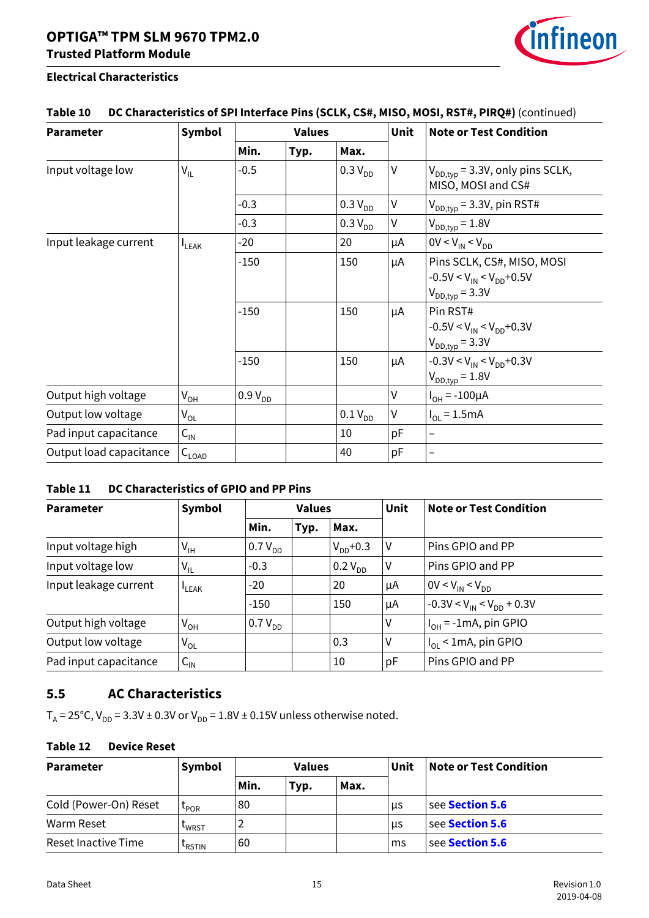

| Table 10 DC Characteristics of SPI Interface Pins (SCLK, CS#, MISO, MOSI, RST#, PIRQ#) (continued) |  |  |
|----------------------------------------------------------------------------------------------------|--|--|
|                                                                                                    |  |  |

| <b>Parameter</b>        | Symbol          | <b>Values</b> |      |              | <b>Unit</b>  | <b>Note or Test Condition</b>                                                         |
|-------------------------|-----------------|---------------|------|--------------|--------------|---------------------------------------------------------------------------------------|
|                         |                 | Min.          | Typ. | Max.         |              |                                                                                       |
| Input voltage low       | $V_{IL}$        | $-0.5$        |      | $0.3 V_{DD}$ | $\mathsf{V}$ | $V_{DD,typ}$ = 3.3V, only pins SCLK,<br>MISO, MOSI and CS#                            |
|                         |                 | $-0.3$        |      | $0.3 V_{DD}$ | V            | $V_{DD,typ}$ = 3.3V, pin RST#                                                         |
|                         |                 | $-0.3$        |      | $0.3 V_{DD}$ | V            | $V_{DD,typ} = 1.8V$                                                                   |
| Input leakage current   | <b>I</b> LEAK   | $-20$         |      | 20           | μA           | $0V < V_{IN} < V_{DD}$                                                                |
|                         |                 | $-150$        |      | 150          | μA           | Pins SCLK, CS#, MISO, MOSI<br>$-0.5V < V_{IN} < V_{DD} + 0.5V$<br>$V_{DD,typ} = 3.3V$ |
|                         |                 | $-150$        |      | 150          | μA           | Pin RST#<br>$-0.5V < V_{IN} < V_{DD} + 0.3V$<br>$V_{DD,typ} = 3.3V$                   |
|                         |                 | $-150$        |      | 150          | μA           | $-0.3V < V_{IN} < V_{DD} + 0.3V$<br>$V_{DD,typ} = 1.8V$                               |
| Output high voltage     | $V_{OH}$        | $0.9 V_{DD}$  |      |              | V            | $I_{OH} = -100 \mu A$                                                                 |
| Output low voltage      | $V_{OL}$        |               |      | $0.1 V_{DD}$ | V            | $I_{\text{O1}} = 1.5 \text{mA}$                                                       |
| Pad input capacitance   | $C_{\text{IN}}$ |               |      | 10           | pF           | $\qquad \qquad -$                                                                     |
| Output load capacitance | $C_{LOAD}$      |               |      | 40           | pF           |                                                                                       |

#### <span id="page-14-1"></span>**Table 11 DC Characteristics of GPIO and PP Pins**

| <b>Parameter</b>      | Symbol                     | <b>Values</b> |      |               | Unit           | <b>Note or Test Condition</b>       |
|-----------------------|----------------------------|---------------|------|---------------|----------------|-------------------------------------|
|                       |                            | Min.          | Typ. | Max.          |                |                                     |
| Input voltage high    | $V_{IH}$                   | $0.7 V_{DD}$  |      | $V_{DD}$ +0.3 | IV.            | Pins GPIO and PP                    |
| Input voltage low     | $V_{IL}$                   | $-0.3$        |      | $0.2 V_{DD}$  | $\vee$         | Pins GPIO and PP                    |
| Input leakage current | $L$ EAK                    | $-20$         |      | 20            | μA             | $0V < V_{IN} < V_{DD}$              |
|                       |                            | $-150$        |      | 150           | μA             | $1 - 0.3V < V_{IN} < V_{DD} + 0.3V$ |
| Output high voltage   | $V_{OH}$                   | $0.7 V_{DD}$  |      |               | $\vee$         | $ I_{OH}$ = -1mA, pin GPIO          |
| Output low voltage    | $V_{OL}$                   |               |      | 0.3           | <sub>J</sub> V | $I_{OL}$ < 1mA, pin GPIO            |
| Pad input capacitance | $\mathsf{C}_{\mathsf{IN}}$ |               |      | 10            | pF             | Pins GPIO and PP                    |

## <span id="page-14-0"></span>**5.5 AC Characteristics**

 $T_A = 25^{\circ}$ C,  $V_{DD} = 3.3V \pm 0.3V$  or  $V_{DD} = 1.8V \pm 0.15V$  unless otherwise noted.

## <span id="page-14-2"></span>**Table 12 Device Reset**

| <b>Parameter</b>      | Symbol             | <b>Values</b> |      |      | Unit | <b>Note or Test Condition</b> |  |
|-----------------------|--------------------|---------------|------|------|------|-------------------------------|--|
|                       |                    | Min.          | Typ. | Max. |      |                               |  |
| Cold (Power-On) Reset | <b>LPOR</b>        | 80            |      |      | μs   | see Section 5.6               |  |
| Warm Reset            | <b>LWRST</b>       |               |      |      | us   | see Section 5.6               |  |
| Reset Inactive Time   | L <sub>RSTIN</sub> | 60            |      |      | ms   | see Section 5.6               |  |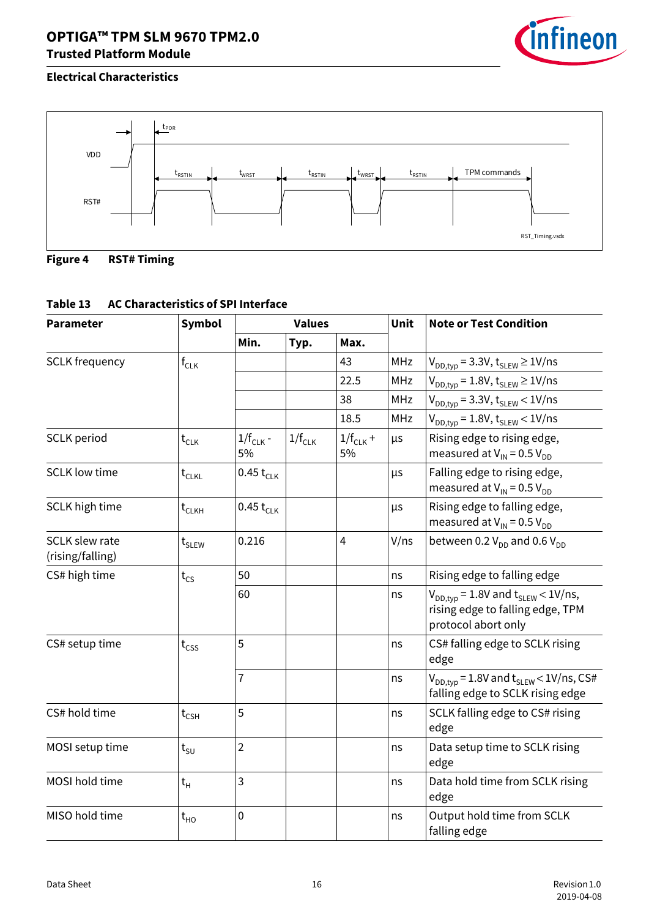



<span id="page-15-0"></span>

## <span id="page-15-1"></span>**Table 13 AC Characteristics of SPI Interface**

| <b>Parameter</b>                          | Symbol                      | <b>Values</b>       |             |                     | Unit       | <b>Note or Test Condition</b>                                                                          |
|-------------------------------------------|-----------------------------|---------------------|-------------|---------------------|------------|--------------------------------------------------------------------------------------------------------|
|                                           |                             | Min.                | Typ.        | Max.                |            |                                                                                                        |
| <b>SCLK</b> frequency                     | $\mathsf{f}_{\mathsf{CLK}}$ |                     |             | 43                  | <b>MHz</b> | $V_{DD,typ}$ = 3.3V, $t_{SLEW} \ge 1$ V/ns                                                             |
|                                           |                             |                     |             | 22.5                | <b>MHz</b> | $V_{DD.tvo} = 1.8V$ , $t_{SLEW} \ge 1V/ns$                                                             |
|                                           |                             |                     |             | 38                  | <b>MHz</b> | $V_{DD,typ}$ = 3.3V, $t_{SLEW}$ < 1V/ns                                                                |
|                                           |                             |                     |             | 18.5                | <b>MHz</b> | $V_{DD,tvo}$ = 1.8V, $t_{SLEW}$ < 1V/ns                                                                |
| <b>SCLK</b> period                        | $t_{CLK}$                   | $1/f_{CLK}$ -<br>5% | $1/f_{CLK}$ | $1/f_{CLK}$ +<br>5% | μs         | Rising edge to rising edge,<br>measured at $V_{IN}$ = 0.5 $V_{DD}$                                     |
| <b>SCLK</b> low time                      | $t_{CLKL}$                  | $0.45 t_{CLK}$      |             |                     | μs         | Falling edge to rising edge,<br>measured at $V_{IN}$ = 0.5 $V_{DD}$                                    |
| <b>SCLK</b> high time                     | $t$ <sub>CLKH</sub>         | $0.45 t_{CLK}$      |             |                     | μs         | Rising edge to falling edge,<br>measured at $V_{IN}$ = 0.5 $V_{DD}$                                    |
| <b>SCLK slew rate</b><br>(rising/falling) | $t$ <sub>SLEW</sub>         | 0.216               |             | $\overline{4}$      | V/ns       | between 0.2 $V_{DD}$ and 0.6 $V_{DD}$                                                                  |
| CS# high time                             | $t_{CS}$                    | 50                  |             |                     | ns         | Rising edge to falling edge                                                                            |
|                                           |                             | 60                  |             |                     | ns         | $V_{DD.tvo}$ = 1.8V and $t_{SLEW}$ < 1V/ns,<br>rising edge to falling edge, TPM<br>protocol abort only |
| CS# setup time                            | $t_{\text{CSS}}$            | 5                   |             |                     | ns         | CS# falling edge to SCLK rising<br>edge                                                                |
|                                           |                             | 7                   |             |                     | ns         | $V_{DD.tvo}$ = 1.8V and $t_{SLEW}$ < 1V/ns, CS#<br>falling edge to SCLK rising edge                    |
| CS# hold time                             | $t_{CSH}$                   | 5                   |             |                     | ns         | SCLK falling edge to CS# rising<br>edge                                                                |
| MOSI setup time                           | $t_{\text{SU}}$             | $\overline{2}$      |             |                     | ns         | Data setup time to SCLK rising<br>edge                                                                 |
| MOSI hold time                            | $t_H$                       | 3                   |             |                     | ns         | Data hold time from SCLK rising<br>edge                                                                |
| MISO hold time                            | $t_{HO}$                    | $\mathbf 0$         |             |                     | ns         | Output hold time from SCLK<br>falling edge                                                             |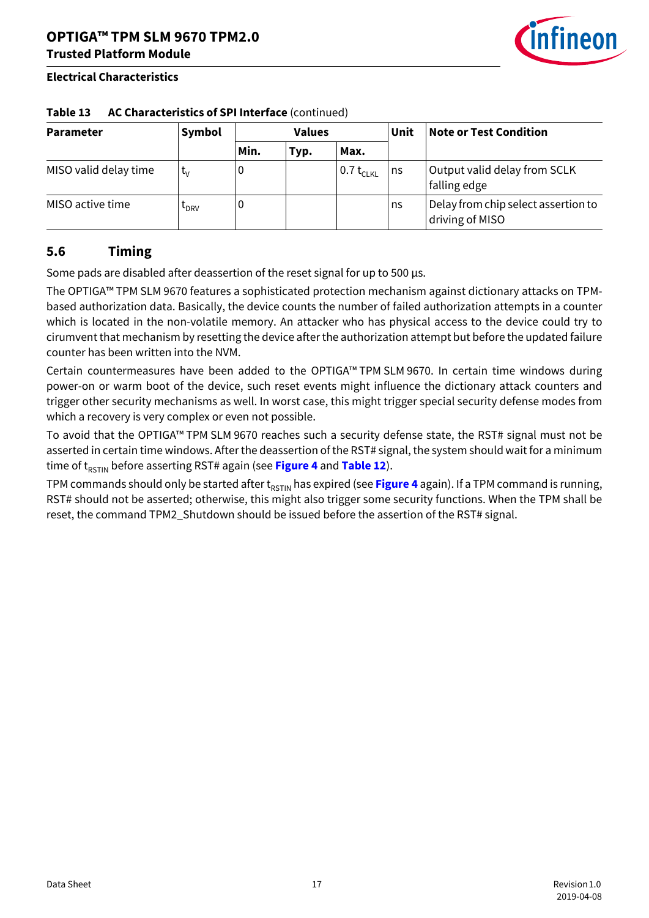

| <b>Parameter</b>      | Symbol           | <b>Values</b> |      |                | Unit | <b>Note or Test Condition</b>                          |
|-----------------------|------------------|---------------|------|----------------|------|--------------------------------------------------------|
|                       |                  | Min.          | Typ. | Max.           |      |                                                        |
| MISO valid delay time | t.,              | 0             |      | $0.7 t_{CLKL}$ | ns   | Output valid delay from SCLK<br>falling edge           |
| MISO active time      | L <sub>DRV</sub> | 0             |      |                | ns   | Delay from chip select assertion to<br>driving of MISO |

#### **Table 13 AC Characteristics of SPI Interface** (continued)

## <span id="page-16-0"></span>**5.6 Timing**

Some pads are disabled after deassertion of the reset signal for up to 500 µs.

The OPTIGA™ TPM SLM 9670 features a sophisticated protection mechanism against dictionary attacks on TPMbased authorization data. Basically, the device counts the number of failed authorization attempts in a counter which is located in the non-volatile memory. An attacker who has physical access to the device could try to cirumvent that mechanism by resetting the device after the authorization attempt but before the updated failure counter has been written into the NVM.

Certain countermeasures have been added to the OPTIGA™ TPM SLM 9670. In certain time windows during power-on or warm boot of the device, such reset events might influence the dictionary attack counters and trigger other security mechanisms as well. In worst case, this might trigger special security defense modes from which a recovery is very complex or even not possible.

To avoid that the OPTIGA™ TPM SLM 9670 reaches such a security defense state, the RST# signal must not be asserted in certain time windows. After the deassertion of the RST# signal, the system should wait for a minimum time of t<sub>RSTIN</sub> before asserting RST# again (see [Figure 4](#page-15-0) and [Table 12](#page-14-2)).

TPM commands should only be started after t<sub>RSTIN</sub> has expired (see [Figure 4](#page-15-0) again). If a TPM command is running, RST# should not be asserted; otherwise, this might also trigger some security functions. When the TPM shall be reset, the command TPM2\_Shutdown should be issued before the assertion of the RST# signal.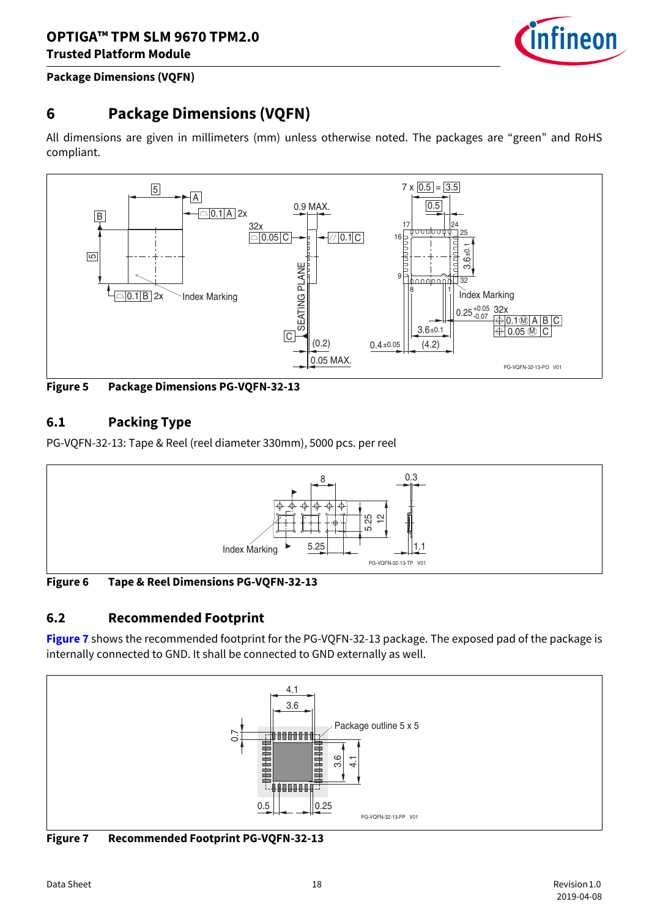

#### **Package Dimensions (VQFN)**

## <span id="page-17-0"></span>**6 Package Dimensions (VQFN)**

All dimensions are given in millimeters (mm) unless otherwise noted. The packages are "green" and RoHS compliant.



<span id="page-17-3"></span>**Figure 5 Package Dimensions PG-VQFN-32-13**

## <span id="page-17-1"></span>**6.1 Packing Type**

PG-VQFN-32-13: Tape & Reel (reel diameter 330mm), 5000 pcs. per reel



<span id="page-17-4"></span>**Figure 6 Tape & Reel Dimensions PG-VQFN-32-13**

## <span id="page-17-2"></span>**6.2 Recommended Footprint**

**[Figure 7](#page-17-5)** shows the recommended footprint for the PG-VQFN-32-13 package. The exposed pad of the package is internally connected to GND. It shall be connected to GND externally as well.



<span id="page-17-5"></span>**Figure 7 Recommended Footprint PG-VQFN-32-13**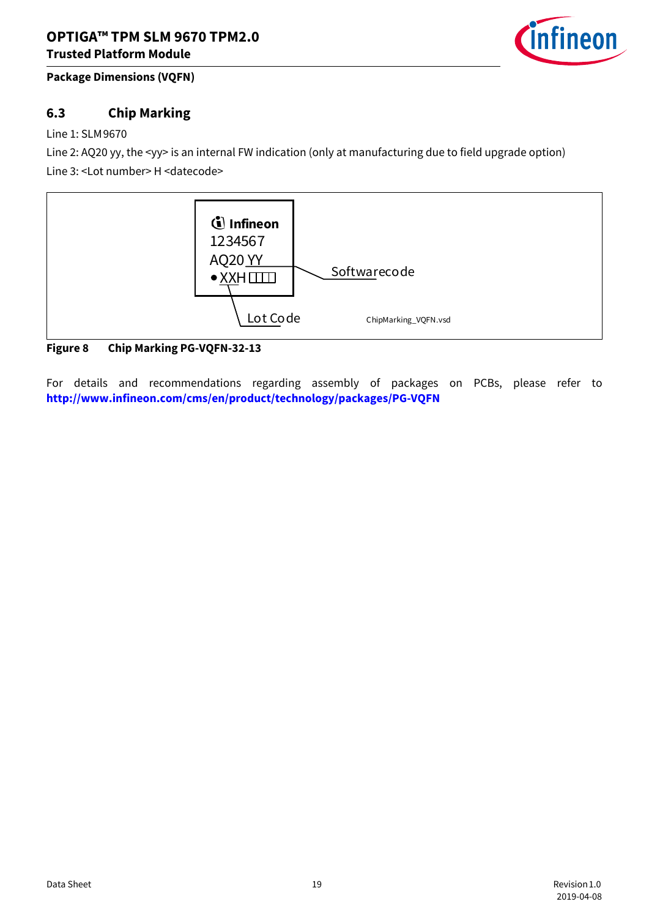

#### **Package Dimensions (VQFN)**

## <span id="page-18-0"></span>**6.3 Chip Marking**

#### Line 1: SLM9670

Line 2: AQ20 yy, the <yy> is an internal FW indication (only at manufacturing due to field upgrade option) Line 3: <Lot number> H <datecode>



#### <span id="page-18-1"></span>**Figure 8 Chip Marking PG-VQFN-32-13**

For details and recommendations regarding assembly of packages on PCBs, please refer to **http://www.infineon.com/cms/en/product/technology/packages/PG-VQFN**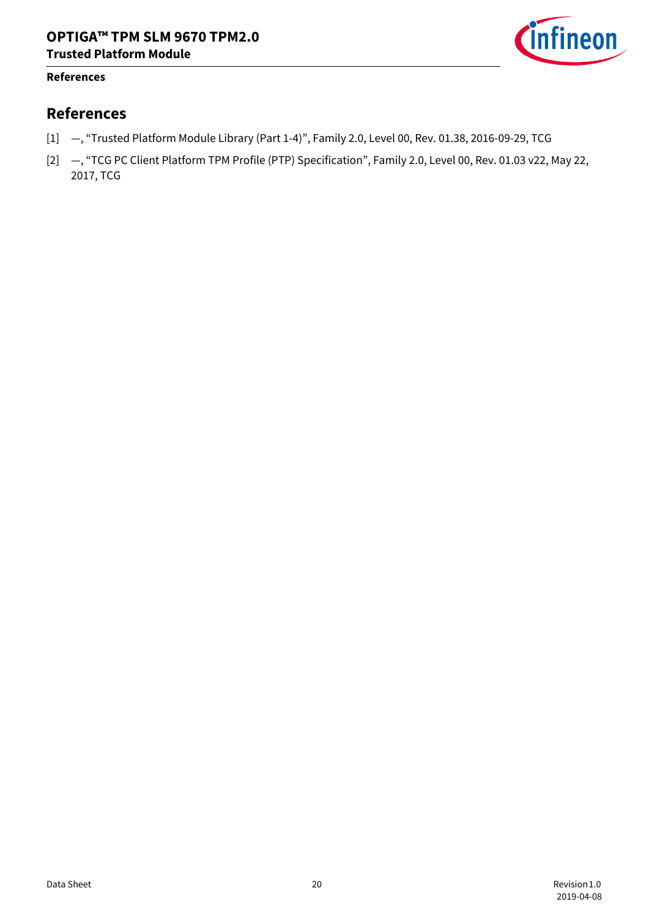

#### **References**

## **References**

- <span id="page-19-1"></span>[1] —, "Trusted Platform Module Library (Part 1-4)", Family 2.0, Level 00, Rev. 01.38, 2016-09-29, TCG
- <span id="page-19-0"></span>[2] —, "TCG PC Client Platform TPM Profile (PTP) Specification", Family 2.0, Level 00, Rev. 01.03 v22, May 22, 2017, TCG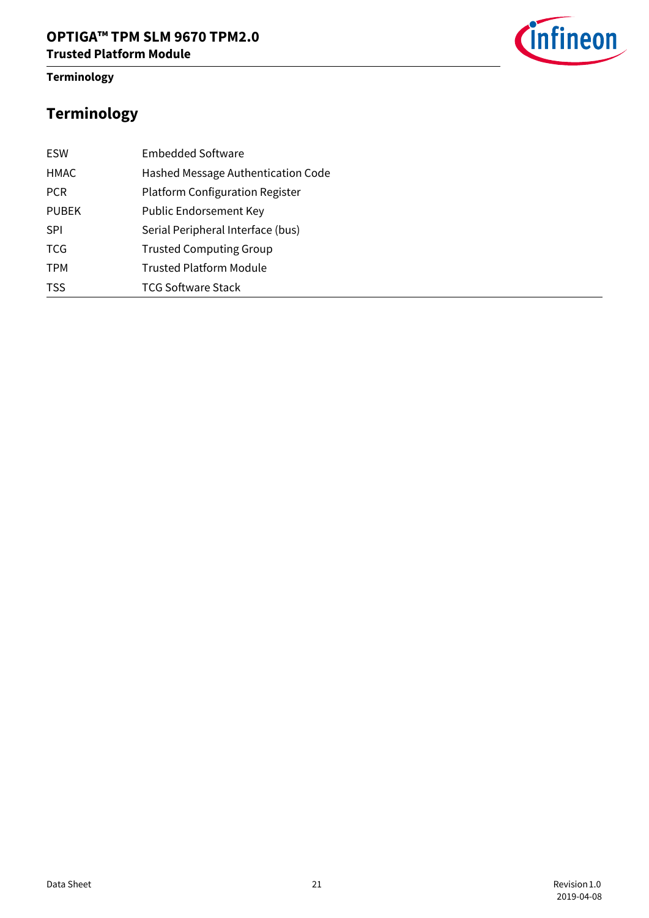#### **Terminology**



# **Terminology**

| <b>ESW</b>   | <b>Embedded Software</b>               |
|--------------|----------------------------------------|
| <b>HMAC</b>  | Hashed Message Authentication Code     |
| <b>PCR</b>   | <b>Platform Configuration Register</b> |
| <b>PUBEK</b> | Public Endorsement Key                 |
| <b>SPI</b>   | Serial Peripheral Interface (bus)      |
| <b>TCG</b>   | <b>Trusted Computing Group</b>         |
| <b>TPM</b>   | Trusted Platform Module                |
| <b>TSS</b>   | <b>TCG Software Stack</b>              |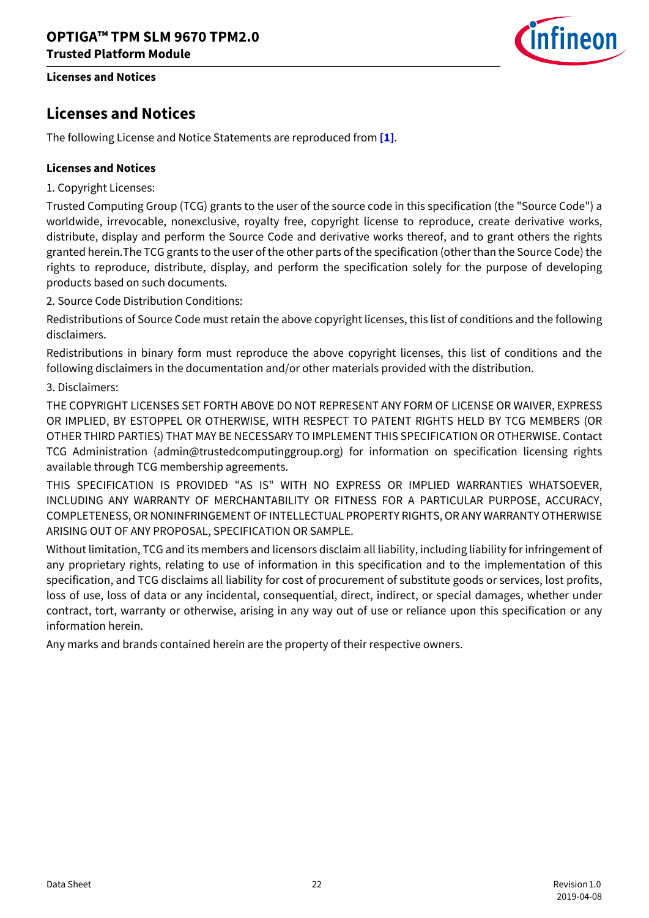**Licenses and Notices**

# ineon

## **Licenses and Notices**

The following License and Notice Statements are reproduced from **[\[1\]](#page-19-1)**.

#### **Licenses and Notices**

1. Copyright Licenses:

Trusted Computing Group (TCG) grants to the user of the source code in this specification (the "Source Code") a worldwide, irrevocable, nonexclusive, royalty free, copyright license to reproduce, create derivative works, distribute, display and perform the Source Code and derivative works thereof, and to grant others the rights granted herein.The TCG grants to the user of the other parts of the specification (other than the Source Code) the rights to reproduce, distribute, display, and perform the specification solely for the purpose of developing products based on such documents.

2. Source Code Distribution Conditions:

Redistributions of Source Code must retain the above copyright licenses, this list of conditions and the following disclaimers.

Redistributions in binary form must reproduce the above copyright licenses, this list of conditions and the following disclaimers in the documentation and/or other materials provided with the distribution.

#### 3. Disclaimers:

THE COPYRIGHT LICENSES SET FORTH ABOVE DO NOT REPRESENT ANY FORM OF LICENSE OR WAIVER, EXPRESS OR IMPLIED, BY ESTOPPEL OR OTHERWISE, WITH RESPECT TO PATENT RIGHTS HELD BY TCG MEMBERS (OR OTHER THIRD PARTIES) THAT MAY BE NECESSARY TO IMPLEMENT THIS SPECIFICATION OR OTHERWISE. Contact TCG Administration (admin@trustedcomputinggroup.org) for information on specification licensing rights available through TCG membership agreements.

THIS SPECIFICATION IS PROVIDED "AS IS" WITH NO EXPRESS OR IMPLIED WARRANTIES WHATSOEVER, INCLUDING ANY WARRANTY OF MERCHANTABILITY OR FITNESS FOR A PARTICULAR PURPOSE, ACCURACY, COMPLETENESS, OR NONINFRINGEMENT OF INTELLECTUAL PROPERTY RIGHTS, OR ANY WARRANTY OTHERWISE ARISING OUT OF ANY PROPOSAL, SPECIFICATION OR SAMPLE.

Without limitation, TCG and its members and licensors disclaim all liability, including liability for infringement of any proprietary rights, relating to use of information in this specification and to the implementation of this specification, and TCG disclaims all liability for cost of procurement of substitute goods or services, lost profits, loss of use, loss of data or any incidental, consequential, direct, indirect, or special damages, whether under contract, tort, warranty or otherwise, arising in any way out of use or reliance upon this specification or any information herein.

Any marks and brands contained herein are the property of their respective owners.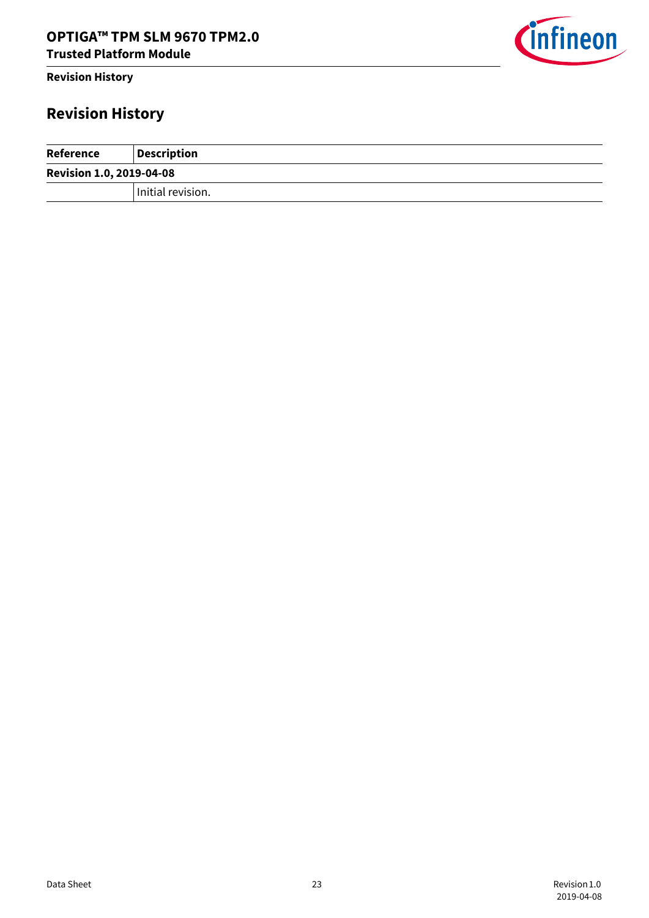#### **Revision History**

# **Revision History**

| Reference                       | <b>Description</b> |
|---------------------------------|--------------------|
| <b>Revision 1.0, 2019-04-08</b> |                    |
|                                 | Initial revision.  |